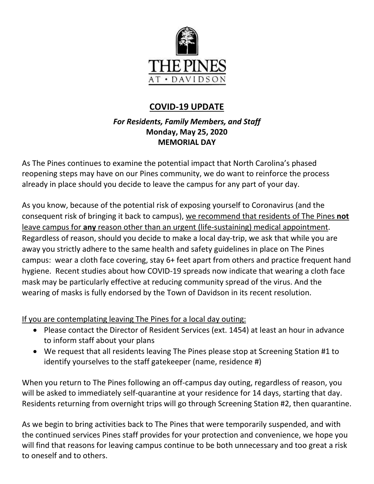

# **COVID-19 UPDATE**

# *For Residents, Family Members, and Staff* **Monday, May 25, 2020 MEMORIAL DAY**

As The Pines continues to examine the potential impact that North Carolina's phased reopening steps may have on our Pines community, we do want to reinforce the process already in place should you decide to leave the campus for any part of your day.

As you know, because of the potential risk of exposing yourself to Coronavirus (and the consequent risk of bringing it back to campus), we recommend that residents of The Pines **not** leave campus for **any** reason other than an urgent (life-sustaining) medical appointment. Regardless of reason, should you decide to make a local day-trip, we ask that while you are away you strictly adhere to the same health and safety guidelines in place on The Pines campus: wear a cloth face covering, stay 6+ feet apart from others and practice frequent hand hygiene. Recent studies about how COVID-19 spreads now indicate that wearing a cloth face mask may be particularly effective at reducing community spread of the virus. And the wearing of masks is fully endorsed by the Town of Davidson in its recent resolution.

If you are contemplating leaving The Pines for a local day outing:

- Please contact the Director of Resident Services (ext. 1454) at least an hour in advance to inform staff about your plans
- We request that all residents leaving The Pines please stop at Screening Station #1 to identify yourselves to the staff gatekeeper (name, residence #)

When you return to The Pines following an off-campus day outing, regardless of reason, you will be asked to immediately self-quarantine at your residence for 14 days, starting that day. Residents returning from overnight trips will go through Screening Station #2, then quarantine.

As we begin to bring activities back to The Pines that were temporarily suspended, and with the continued services Pines staff provides for your protection and convenience, we hope you will find that reasons for leaving campus continue to be both unnecessary and too great a risk to oneself and to others.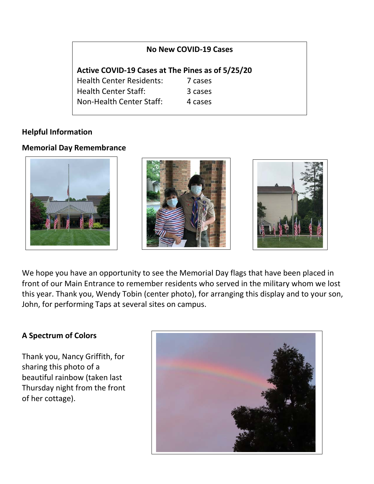#### **No New COVID-19 Cases**

**Active COVID-19 Cases at The Pines as of 5/25/20** Health Center Residents: 7 cases Health Center Staff: 3 cases Non-Health Center Staff: 4 cases

## **Helpful Information**

## **Memorial Day Remembrance**







We hope you have an opportunity to see the Memorial Day flags that have been placed in front of our Main Entrance to remember residents who served in the military whom we lost this year. Thank you, Wendy Tobin (center photo), for arranging this display and to your son, John, for performing Taps at several sites on campus.

#### **A Spectrum of Colors**

Thank you, Nancy Griffith, for sharing this photo of a beautiful rainbow (taken last Thursday night from the front of her cottage).